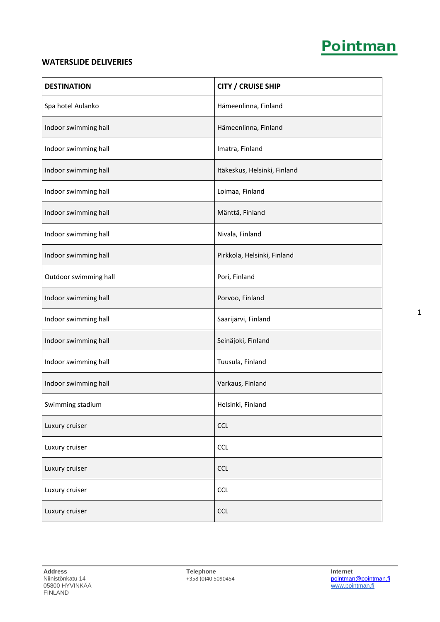## Pointman

## **WATERSLIDE DELIVERIES**

| <b>DESTINATION</b>    | <b>CITY / CRUISE SHIP</b>    |
|-----------------------|------------------------------|
| Spa hotel Aulanko     | Hämeenlinna, Finland         |
| Indoor swimming hall  | Hämeenlinna, Finland         |
| Indoor swimming hall  | Imatra, Finland              |
| Indoor swimming hall  | Itäkeskus, Helsinki, Finland |
| Indoor swimming hall  | Loimaa, Finland              |
| Indoor swimming hall  | Mänttä, Finland              |
| Indoor swimming hall  | Nivala, Finland              |
| Indoor swimming hall  | Pirkkola, Helsinki, Finland  |
| Outdoor swimming hall | Pori, Finland                |
| Indoor swimming hall  | Porvoo, Finland              |
| Indoor swimming hall  | Saarijärvi, Finland          |
| Indoor swimming hall  | Seinäjoki, Finland           |
| Indoor swimming hall  | Tuusula, Finland             |
| Indoor swimming hall  | Varkaus, Finland             |
| Swimming stadium      | Helsinki, Finland            |
| Luxury cruiser        | <b>CCL</b>                   |
| Luxury cruiser        | <b>CCL</b>                   |
| Luxury cruiser        | <b>CCL</b>                   |
| Luxury cruiser        | <b>CCL</b>                   |
| Luxury cruiser        | <b>CCL</b>                   |